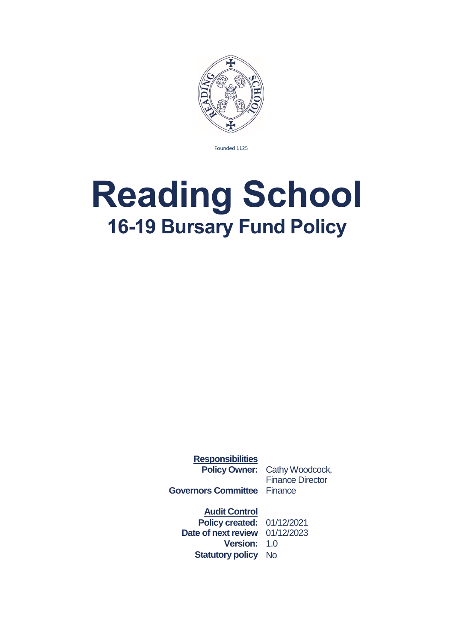

Founded 1125

## <span id="page-0-0"></span>**Reading School 16-19 Bursary Fund Policy**

**Responsibilities**

**Policy Owner:** Cathy Woodcock, Finance Director

**Governors Committee** Finance

**Audit Control Policy created:** 01/12/2021 **Date of next review** 01/12/2023 **Version:** 1.0 **Statutory policy** No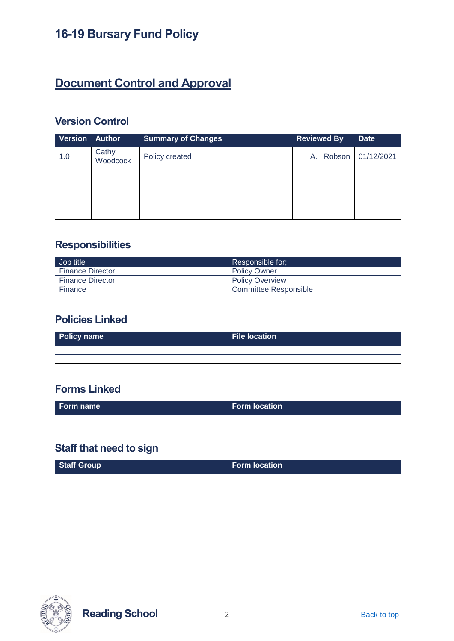## **Document Control and Approval**

#### **Version Control**

| <b>Version Author</b> |                   | <b>Summary of Changes</b> | <b>Reviewed By</b>   | <b>Date</b> |
|-----------------------|-------------------|---------------------------|----------------------|-------------|
| 1.0                   | Cathy<br>Woodcock | Policy created            | A. Robson 01/12/2021 |             |
|                       |                   |                           |                      |             |
|                       |                   |                           |                      |             |
|                       |                   |                           |                      |             |
|                       |                   |                           |                      |             |

#### **Responsibilities**

| Job title               | Responsible for:       |
|-------------------------|------------------------|
| <b>Finance Director</b> | <b>Policy Owner</b>    |
| <b>Finance Director</b> | <b>Policy Overview</b> |
| Finance                 | Committee Responsible  |

#### **Policies Linked**

| <b>Policy name</b> | File location |
|--------------------|---------------|
|                    |               |
|                    |               |

#### **Forms Linked**

| Form name | <b>Form location</b> |
|-----------|----------------------|
|           |                      |

## **Staff that need to sign**

| Staff Group | <b>Form location</b> |
|-------------|----------------------|
|             |                      |



**Reading School** 2 **[Back to top](#page-0-0)**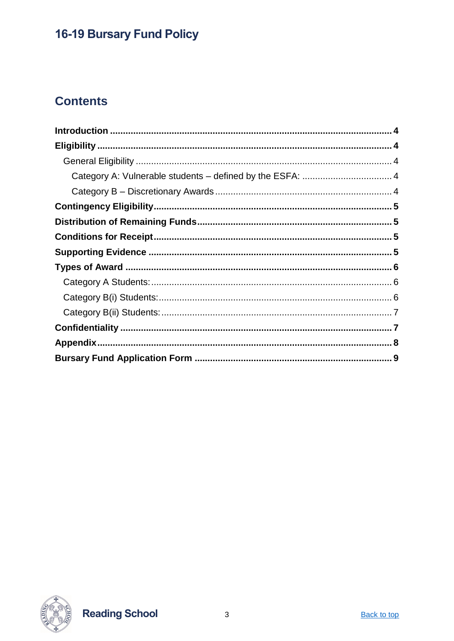## **Contents**



**Reading School**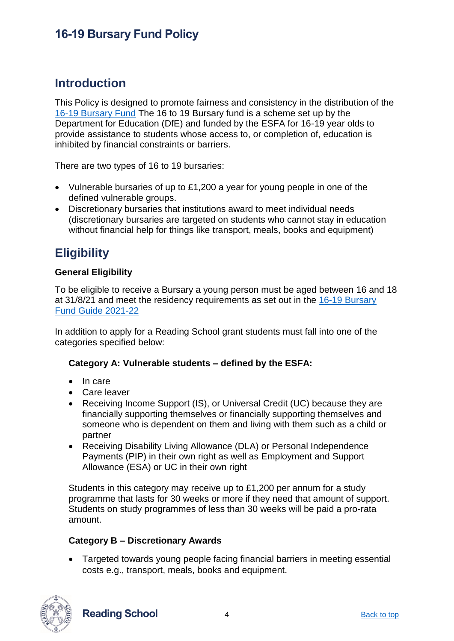#### <span id="page-3-0"></span>**Introduction**

This Policy is designed to promote fairness and consistency in the distribution of the [16-19 Bursary Fund](https://www.gov.uk/1619-bursary-fund) The 16 to 19 Bursary fund is a scheme set up by the Department for Education (DfE) and funded by the ESFA for 16-19 year olds to provide assistance to students whose access to, or completion of, education is inhibited by financial constraints or barriers.

There are two types of 16 to 19 bursaries:

- Vulnerable bursaries of up to £1,200 a year for young people in one of the defined vulnerable groups.
- Discretionary bursaries that institutions award to meet individual needs (discretionary bursaries are targeted on students who cannot stay in education without financial help for things like transport, meals, books and equipment)

#### <span id="page-3-1"></span>**Eligibility**

#### <span id="page-3-2"></span>**General Eligibility**

To be eligible to receive a Bursary a young person must be aged between 16 and 18 at 31/8/21 and meet the residency requirements as set out in the [16-19 Bursary](https://www.gov.uk/guidance/16-to-19-bursary-fund-guide-2021-to-2022-academic-year)  [Fund Guide 2021-22](https://www.gov.uk/guidance/16-to-19-bursary-fund-guide-2021-to-2022-academic-year)

In addition to apply for a Reading School grant students must fall into one of the categories specified below:

#### <span id="page-3-3"></span>**Category A: Vulnerable students – defined by the ESFA:**

- In care
- Care leaver
- Receiving Income Support (IS), or Universal Credit (UC) because they are financially supporting themselves or financially supporting themselves and someone who is dependent on them and living with them such as a child or partner
- Receiving Disability Living Allowance (DLA) or Personal Independence Payments (PIP) in their own right as well as Employment and Support Allowance (ESA) or UC in their own right

Students in this category may receive up to £1,200 per annum for a study programme that lasts for 30 weeks or more if they need that amount of support. Students on study programmes of less than 30 weeks will be paid a pro-rata amount.

#### <span id="page-3-4"></span>**Category B – Discretionary Awards**

• Targeted towards young people facing financial barriers in meeting essential costs e.g., transport, meals, books and equipment.



**Reading School** 4 [Back to top](#page-0-0)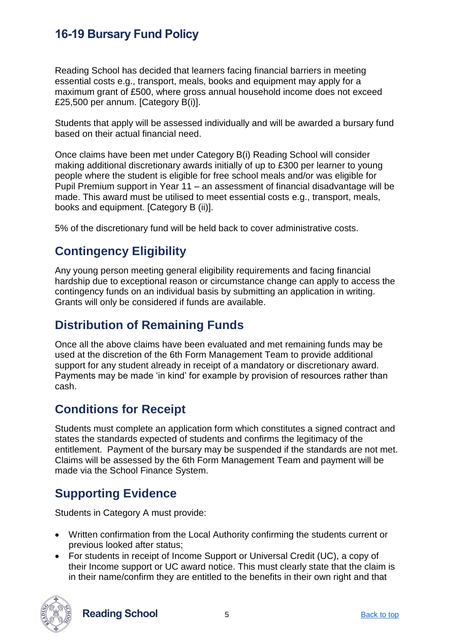Reading School has decided that learners facing financial barriers in meeting essential costs e.g., transport, meals, books and equipment may apply for a maximum grant of £500, where gross annual household income does not exceed £25,500 per annum. [Category B(i)].

Students that apply will be assessed individually and will be awarded a bursary fund based on their actual financial need.

Once claims have been met under Category B(i) Reading School will consider making additional discretionary awards initially of up to £300 per learner to young people where the student is eligible for free school meals and/or was eligible for Pupil Premium support in Year 11 – an assessment of financial disadvantage will be made. This award must be utilised to meet essential costs e.g., transport, meals, books and equipment. [Category B (ii)].

5% of the discretionary fund will be held back to cover administrative costs.

## <span id="page-4-0"></span>**Contingency Eligibility**

Any young person meeting general eligibility requirements and facing financial hardship due to exceptional reason or circumstance change can apply to access the contingency funds on an individual basis by submitting an application in writing. Grants will only be considered if funds are available.

## <span id="page-4-1"></span>**Distribution of Remaining Funds**

Once all the above claims have been evaluated and met remaining funds may be used at the discretion of the 6th Form Management Team to provide additional support for any student already in receipt of a mandatory or discretionary award. Payments may be made 'in kind' for example by provision of resources rather than cash.

#### <span id="page-4-2"></span>**Conditions for Receipt**

Students must complete an application form which constitutes a signed contract and states the standards expected of students and confirms the legitimacy of the entitlement. Payment of the bursary may be suspended if the standards are not met. Claims will be assessed by the 6th Form Management Team and payment will be made via the School Finance System.

## <span id="page-4-3"></span>**Supporting Evidence**

Students in Category A must provide:

- Written confirmation from the Local Authority confirming the students current or previous looked after status;
- For students in receipt of Income Support or Universal Credit (UC), a copy of their Income support or UC award notice. This must clearly state that the claim is in their name/confirm they are entitled to the benefits in their own right and that



**Reading School** 5 [Back to top](#page-0-0)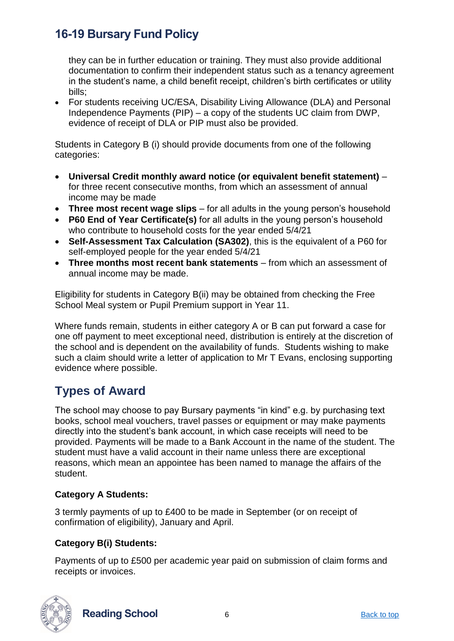they can be in further education or training. They must also provide additional documentation to confirm their independent status such as a tenancy agreement in the student's name, a child benefit receipt, children's birth certificates or utility bills;

• For students receiving UC/ESA, Disability Living Allowance (DLA) and Personal Independence Payments (PIP) – a copy of the students UC claim from DWP, evidence of receipt of DLA or PIP must also be provided.

Students in Category B (i) should provide documents from one of the following categories:

- **Universal Credit monthly award notice (or equivalent benefit statement)** for three recent consecutive months, from which an assessment of annual income may be made
- **Three most recent wage slips** for all adults in the young person's household
- **P60 End of Year Certificate(s)** for all adults in the young person's household who contribute to household costs for the year ended 5/4/21
- **Self-Assessment Tax Calculation (SA302)**, this is the equivalent of a P60 for self-employed people for the year ended 5/4/21
- **Three months most recent bank statements** from which an assessment of annual income may be made.

Eligibility for students in Category B(ii) may be obtained from checking the Free School Meal system or Pupil Premium support in Year 11.

Where funds remain, students in either category A or B can put forward a case for one off payment to meet exceptional need, distribution is entirely at the discretion of the school and is dependent on the availability of funds. Students wishing to make such a claim should write a letter of application to Mr T Evans, enclosing supporting evidence where possible.

## <span id="page-5-0"></span>**Types of Award**

The school may choose to pay Bursary payments "in kind" e.g. by purchasing text books, school meal vouchers, travel passes or equipment or may make payments directly into the student's bank account, in which case receipts will need to be provided. Payments will be made to a Bank Account in the name of the student. The student must have a valid account in their name unless there are exceptional reasons, which mean an appointee has been named to manage the affairs of the student.

#### <span id="page-5-1"></span>**Category A Students:**

3 termly payments of up to £400 to be made in September (or on receipt of confirmation of eligibility), January and April.

#### <span id="page-5-2"></span>**Category B(i) Students:**

Payments of up to £500 per academic year paid on submission of claim forms and receipts or invoices.



**Reading School** 6 **[Back to top](#page-0-0)** Back to top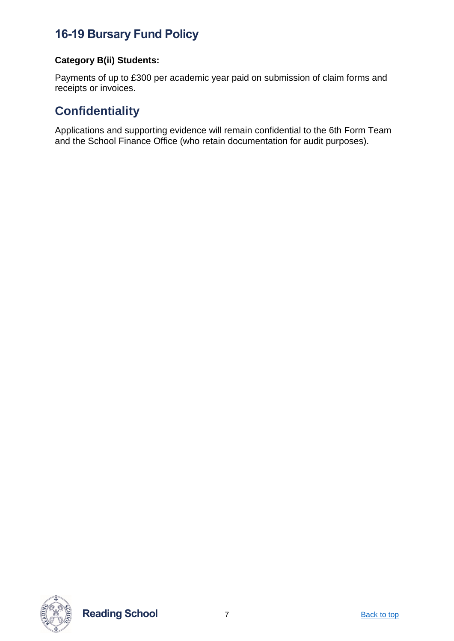#### <span id="page-6-0"></span>**Category B(ii) Students:**

Payments of up to £300 per academic year paid on submission of claim forms and receipts or invoices.

## <span id="page-6-1"></span>**Confidentiality**

Applications and supporting evidence will remain confidential to the 6th Form Team and the School Finance Office (who retain documentation for audit purposes).



**Reading School** 7 **[Back to top](#page-0-0)**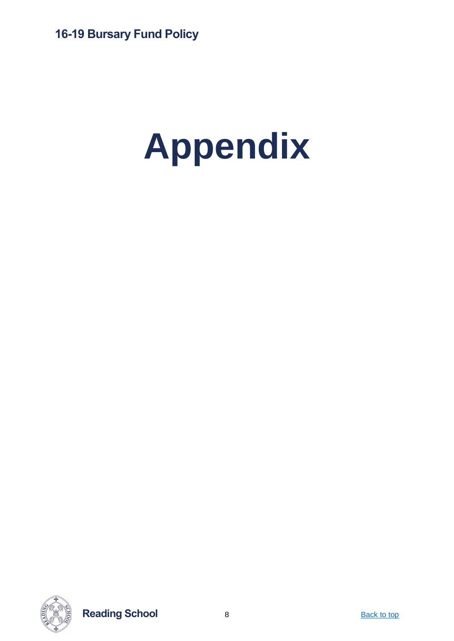# <span id="page-7-0"></span>**Appendix**



**Reading School** 8 **[Back to top](#page-0-0)**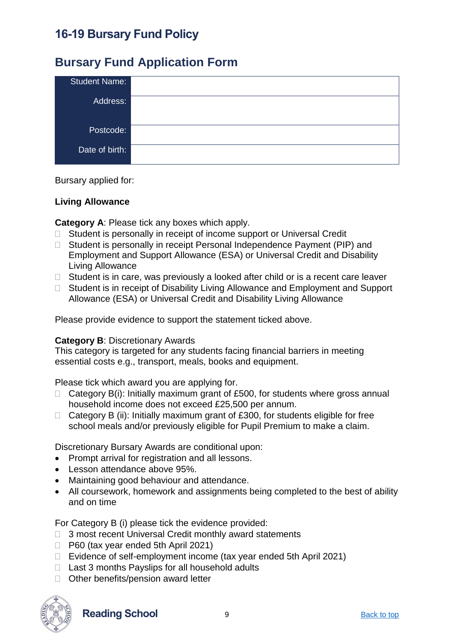#### <span id="page-8-0"></span>**Bursary Fund Application Form**

| <b>Student Name:</b> |  |
|----------------------|--|
| Address:             |  |
|                      |  |
| Postcode:            |  |
| Date of birth:       |  |
|                      |  |

Bursary applied for:

#### **Living Allowance**

**Category A**: Please tick any boxes which apply.

- $\Box$  Student is personally in receipt of income support or Universal Credit
- □ Student is personally in receipt Personal Independence Payment (PIP) and Employment and Support Allowance (ESA) or Universal Credit and Disability Living Allowance
- $\Box$  Student is in care, was previously a looked after child or is a recent care leaver
- □ Student is in receipt of Disability Living Allowance and Employment and Support Allowance (ESA) or Universal Credit and Disability Living Allowance

Please provide evidence to support the statement ticked above.

#### **Category B**: Discretionary Awards

This category is targeted for any students facing financial barriers in meeting essential costs e.g., transport, meals, books and equipment.

Please tick which award you are applying for.

- $\Box$  Category B(i): Initially maximum grant of £500, for students where gross annual household income does not exceed £25,500 per annum.
- $\Box$  Category B (ii): Initially maximum grant of £300, for students eligible for free school meals and/or previously eligible for Pupil Premium to make a claim.

Discretionary Bursary Awards are conditional upon:

- Prompt arrival for registration and all lessons.
- Lesson attendance above 95%.
- Maintaining good behaviour and attendance.
- All coursework, homework and assignments being completed to the best of ability and on time

For Category B (i) please tick the evidence provided:

- □ 3 most recent Universal Credit monthly award statements
- □ P60 (tax year ended 5th April 2021)
- $\Box$  Evidence of self-employment income (tax year ended 5th April 2021)
- $\Box$  Last 3 months Payslips for all household adults
- □ Other benefits/pension award letter



**Reading School** 9 **[Back to top](#page-0-0)** Back to top